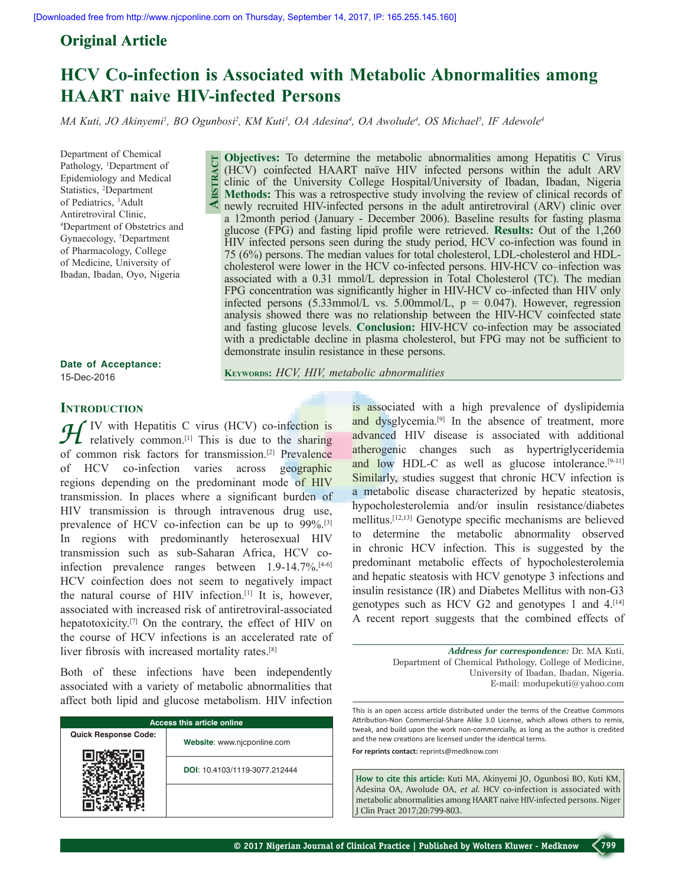## **Original Article**

# **HCV Co-infection is Associated with Metabolic Abnormalities among HAART naive HIV-infected Persons**

*MA Kuti, JO Akinyemi1 , BO Ogunbosi2 , KM Kuti3 , OA Adesina4 , OA Awolude4 , OS Michael5 , IF Adewole4*

Department of Chemical Pathology, <sup>1</sup>Department of Epidemiology and Medical Statistics, 2 Department of Pediatrics, 3 Adult Antiretroviral Clinic, 4 Department of Obstetrics and Gynaecology, <sup>5</sup>Department of Pharmacology, College of Medicine, University of Ibadan, Ibadan, Oyo, Nigeria

**Abstract Objectives:** To determine the metabolic abnormalities among Hepatitis C Virus (HCV) coinfected HAART naïve HIV infected persons within the adult ARV clinic of the University College Hospital/University of Ibadan, Ibadan, Nigeria **Methods:** This was a retrospective study involving the review of clinical records of newly recruited HIV-infected persons in the adult antiretroviral (ARV) clinic over a 12month period (January - December 2006). Baseline results for fasting plasma glucose (FPG) and fasting lipid profile were retrieved. **Results:** Out of the 1,260 HIV infected persons seen during the study period, HCV co-infection was found in 75 (6%) persons. The median values for total cholesterol, LDL-cholesterol and HDLcholesterol were lower in the HCV co-infected persons. HIV-HCV co–infection was associated with a 0.31 mmol/L depression in Total Cholesterol (TC). The median FPG concentration was significantly higher in HIV-HCV co–infected than HIV only infected persons  $(5.33$ mmol/L vs.  $5.00$ mmol/L,  $p = 0.047$ ). However, regression analysis showed there was no relationship between the HIV-HCV coinfected state and fasting glucose levels. **Conclusion:** HIV-HCV co-infection may be associated with a predictable decline in plasma cholesterol, but FPG may not be sufficient to demonstrate insulin resistance in these persons.

**Date of Acceptance:** 15-Dec-2016

**Keywords:** *HCV, HIV, metabolic abnormalities*

### **INTRODUCTION**

*H* IV with Hepatitis C virus (HCV) co-infection is relatively common.<sup>[1]</sup> This is due to the sharing of common risk factors for transmission.[2] Prevalence of HCV co-infection varies across geographic regions depending on the predominant mode of HIV transmission. In places where a significant burden of HIV transmission is through intravenous drug use, prevalence of HCV co-infection can be up to 99%.[3] In regions with predominantly heterosexual HIV transmission such as sub-Saharan Africa, HCV coinfection prevalence ranges between 1.9-14.7%.[4-6] HCV coinfection does not seem to negatively impact the natural course of HIV infection.[1] It is, however, associated with increased risk of antiretroviral-associated hepatotoxicity.<sup>[7]</sup> On the contrary, the effect of HIV on the course of HCV infections is an accelerated rate of liver fibrosis with increased mortality rates.<sup>[8]</sup>

Both of these infections have been independently associated with a variety of metabolic abnormalities that affect both lipid and glucose metabolism. HIV infection

| <b>Access this article online</b> |                               |  |  |  |
|-----------------------------------|-------------------------------|--|--|--|
| <b>Quick Response Code:</b>       | Website: www.njcponline.com   |  |  |  |
|                                   | DOI: 10.4103/1119-3077.212444 |  |  |  |
|                                   |                               |  |  |  |

is associated with a high prevalence of dyslipidemia and dysglycemia.<sup>[9]</sup> In the absence of treatment, more advanced HIV disease is associated with additional atherogenic changes such as hypertriglyceridemia and low HDL-C as well as glucose intolerance. $[9-11]$ Similarly, studies suggest that chronic HCV infection is a metabolic disease characterized by hepatic steatosis, hypocholesterolemia and/or insulin resistance/diabetes mellitus.[12,13] Genotype specific mechanisms are believed to determine the metabolic abnormality observed in chronic HCV infection. This is suggested by the predominant metabolic effects of hypocholesterolemia and hepatic steatosis with HCV genotype 3 infections and insulin resistance (IR) and Diabetes Mellitus with non-G3 genotypes such as HCV G2 and genotypes 1 and  $4$ .<sup>[14]</sup> A recent report suggests that the combined effects of

> *Address for correspondence:* Dr. MA Kuti, Department of Chemical Pathology, College of Medicine, University of Ibadan, Ibadan, Nigeria. E-mail: modupekuti@yahoo.com

This is an open access article distributed under the terms of the Creative Commons Attribution-Non Commercial-Share Alike 3.0 License, which allows others to remix, tweak, and build upon the work non-commercially, as long as the author is credited and the new creations are licensed under the identical terms.

**For reprints contact:** reprints@medknow.com

**How to cite this article:** Kuti MA, Akinyemi JO, Ogunbosi BO, Kuti KM, Adesina OA, Awolude OA, *et al*. HCV co-infection is associated with metabolic abnormalities among HAART naive HIV-infected persons. Niger J Clin Pract 2017;20:799-803.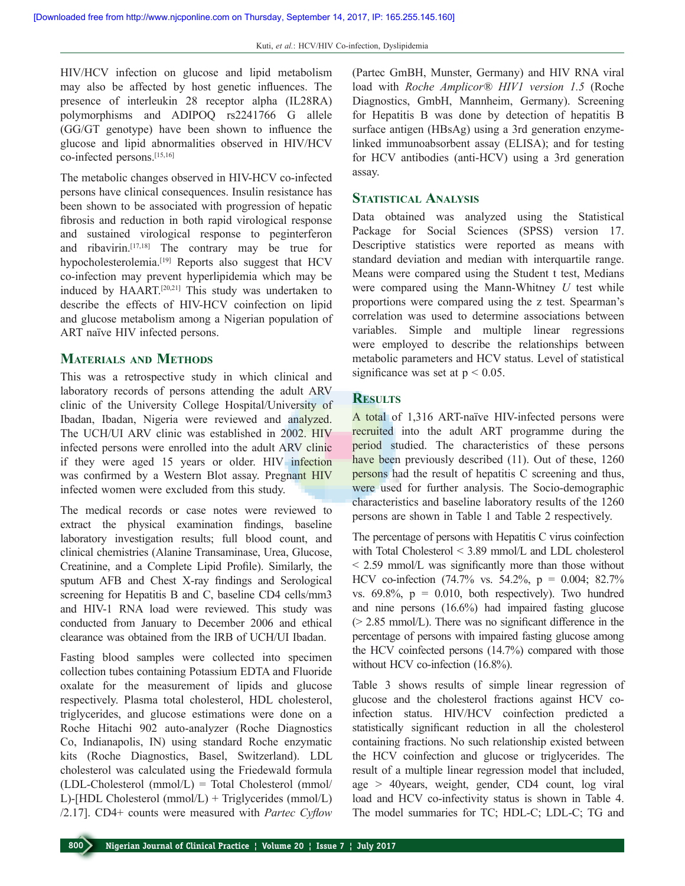HIV/HCV infection on glucose and lipid metabolism may also be affected by host genetic influences. The presence of interleukin 28 receptor alpha (IL28RA) polymorphisms and ADIPOQ rs2241766 G allele (GG/GT genotype) have been shown to influence the glucose and lipid abnormalities observed in HIV/HCV co-infected persons.[15,16]

The metabolic changes observed in HIV-HCV co-infected persons have clinical consequences. Insulin resistance has been shown to be associated with progression of hepatic fibrosis and reduction in both rapid virological response and sustained virological response to peginterferon and ribavirin.[17,18] The contrary may be true for hypocholesterolemia.[19] Reports also suggest that HCV co-infection may prevent hyperlipidemia which may be induced by HAART.<sup>[20,21]</sup> This study was undertaken to describe the effects of HIV-HCV coinfection on lipid and glucose metabolism among a Nigerian population of ART naïve HIV infected persons.

### **Materials and Methods**

This was a retrospective study in which clinical and laboratory records of persons attending the adult ARV clinic of the University College Hospital/University of Ibadan, Ibadan, Nigeria were reviewed and analyzed. The UCH/UI ARV clinic was established in 2002. HIV infected persons were enrolled into the adult ARV clinic if they were aged 15 years or older. HIV infection was confirmed by a Western Blot assay. Pregnant HIV infected women were excluded from this study.

The medical records or case notes were reviewed to extract the physical examination findings, baseline laboratory investigation results; full blood count, and clinical chemistries (Alanine Transaminase, Urea, Glucose, Creatinine, and a Complete Lipid Profile). Similarly, the sputum AFB and Chest X-ray findings and Serological screening for Hepatitis B and C, baseline CD4 cells/mm3 and HIV-1 RNA load were reviewed. This study was conducted from January to December 2006 and ethical clearance was obtained from the IRB of UCH/UI Ibadan.

Fasting blood samples were collected into specimen collection tubes containing Potassium EDTA and Fluoride oxalate for the measurement of lipids and glucose respectively. Plasma total cholesterol, HDL cholesterol, triglycerides, and glucose estimations were done on a Roche Hitachi 902 auto-analyzer (Roche Diagnostics Co, Indianapolis, IN) using standard Roche enzymatic kits (Roche Diagnostics, Basel, Switzerland). LDL cholesterol was calculated using the Friedewald formula  $(LDL-Cholesterol (mmol/L) = Total Cholesterol (mmol/$ L)-[HDL Cholesterol (mmol/L) + Triglycerides (mmol/L) /2.17]. CD4+ counts were measured with *Partec Cyflow*

(Partec GmBH, Munster, Germany) and HIV RNA viral load with *Roche Amplicor® HIV1 version 1.5* (Roche Diagnostics, GmbH, Mannheim, Germany). Screening for Hepatitis B was done by detection of hepatitis B surface antigen (HBsAg) using a 3rd generation enzymelinked immunoabsorbent assay (ELISA); and for testing for HCV antibodies (anti-HCV) using a 3rd generation assay.

### **Statistical Analysis**

Data obtained was analyzed using the Statistical Package for Social Sciences (SPSS) version 17. Descriptive statistics were reported as means with standard deviation and median with interquartile range. Means were compared using the Student t test, Medians were compared using the Mann-Whitney *U* test while proportions were compared using the z test. Spearman's correlation was used to determine associations between variables. Simple and multiple linear regressions were employed to describe the relationships between metabolic parameters and HCV status. Level of statistical significance was set at  $p < 0.05$ .

### **Results**

A total of 1,316 ART-naïve HIV-infected persons were recruited into the adult ART programme during the period studied. The characteristics of these persons have been previously described (11). Out of these, 1260 persons had the result of hepatitis C screening and thus, were used for further analysis. The Socio-demographic characteristics and baseline laboratory results of the 1260 persons are shown in Table 1 and Table 2 respectively.

The percentage of persons with Hepatitis C virus coinfection with Total Cholesterol < 3.89 mmol/L and LDL cholesterol < 2.59 mmol/L was significantly more than those without HCV co-infection (74.7% vs. 54.2%, p = 0.004; 82.7% vs.  $69.8\%$ ,  $p = 0.010$ , both respectively). Two hundred and nine persons (16.6%) had impaired fasting glucose (> 2.85 mmol/L). There was no significant difference in the percentage of persons with impaired fasting glucose among the HCV coinfected persons (14.7%) compared with those without HCV co-infection (16.8%).

Table 3 shows results of simple linear regression of glucose and the cholesterol fractions against HCV coinfection status. HIV/HCV coinfection predicted a statistically significant reduction in all the cholesterol containing fractions. No such relationship existed between the HCV coinfection and glucose or triglycerides. The result of a multiple linear regression model that included, age > 40years, weight, gender, CD4 count, log viral load and HCV co-infectivity status is shown in Table 4. The model summaries for TC; HDL-C; LDL-C; TG and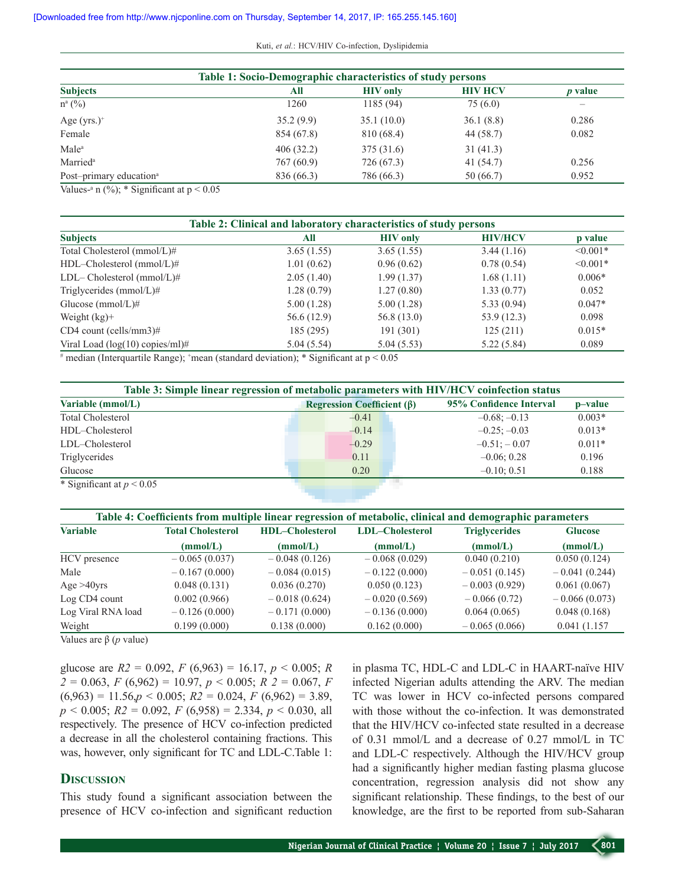Kuti, *et al.*: HCV/HIV Co-infection, Dyslipidemia

| Table 1: Socio-Demographic characteristics of study persons |            |                 |                |                |
|-------------------------------------------------------------|------------|-----------------|----------------|----------------|
| <b>Subjects</b>                                             | All        | <b>HIV</b> only | <b>HIV HCV</b> | <i>p</i> value |
| $n^{a}$ (%)                                                 | 1260       | 1185(94)        | 75(6.0)        |                |
| Age $(yrs.)^+$                                              | 35.2(9.9)  | 35.1(10.0)      | 36.1(8.8)      | 0.286          |
| Female                                                      | 854 (67.8) | 810 (68.4)      | 44 (58.7)      | 0.082          |
| Male <sup>a</sup>                                           | 406(32.2)  | 375(31.6)       | 31(41.3)       |                |
| Married <sup>a</sup>                                        | 767 (60.9) | 726 (67.3)      | 41 (54.7)      | 0.256          |
| Post-primary education <sup>a</sup>                         | 836 (66.3) | 786 (66.3)      | 50 (66.7)      | 0.952          |

Values-<sup>a</sup> n  $(\%)$ ; \* Significant at  $p < 0.05$ 

| Table 2: Clinical and laboratory characteristics of study persons |             |                 |                |               |
|-------------------------------------------------------------------|-------------|-----------------|----------------|---------------|
| <b>Subjects</b>                                                   | All         | <b>HIV</b> only | <b>HIV/HCV</b> | p value       |
| Total Cholesterol (mmol/L)#                                       | 3.65(1.55)  | 3.65(1.55)      | 3.44(1.16)     | $\leq 0.001*$ |
| HDL-Cholesterol (mmol/L)#                                         | 1.01(0.62)  | 0.96(0.62)      | 0.78(0.54)     | $< 0.001*$    |
| $LDL-Cholesterol (mmol/L)$ #                                      | 2.05(1.40)  | 1.99(1.37)      | 1.68(1.11)     | $0.006*$      |
| Triglycerides $(mmol/L)\#$                                        | 1.28(0.79)  | 1.27(0.80)      | 1.33(0.77)     | 0.052         |
| Glucose (mmol/L)#                                                 | 5.00(1.28)  | 5.00(1.28)      | 5.33(0.94)     | $0.047*$      |
| Weight $(kg)$ +                                                   | 56.6 (12.9) | 56.8(13.0)      | 53.9(12.3)     | 0.098         |
| $CD4$ count (cells/mm3)#                                          | 185 (295)   | 191(301)        | 125(211)       | $0.015*$      |
| Viral Load ( $log(10)$ copies/ml)#                                | 5.04(5.54)  | 5.04(5.53)      | 5.22(5.84)     | 0.089         |

# median (Interquartile Range); <sup>+</sup> mean (standard deviation); \* Significant at p < 0.05

| Table 3: Simple linear regression of metabolic parameters with HIV/HCV coinfection status |                                                    |                         |          |  |  |
|-------------------------------------------------------------------------------------------|----------------------------------------------------|-------------------------|----------|--|--|
| Variable (mmol/L)                                                                         | <b>Regression Coefficient (<math>\beta</math>)</b> | 95% Confidence Interval | p-value  |  |  |
| <b>Total Cholesterol</b>                                                                  | $-0.41$                                            | $-0.68: -0.13$          | $0.003*$ |  |  |
| HDL-Cholesterol                                                                           | $-0.14$                                            | $-0.25; -0.03$          | $0.013*$ |  |  |
| LDL-Cholesterol                                                                           | $-0.29$                                            | $-0.51: -0.07$          | $0.011*$ |  |  |
| Triglycerides                                                                             | 0.11                                               | $-0.06:0.28$            | 0.196    |  |  |
| Glucose                                                                                   | 0.20                                               | $-0.10:0.51$            | 0.188    |  |  |
| * Significant at $p < 0.05$                                                               |                                                    |                         |          |  |  |

| Table 4: Coefficients from multiple linear regression of metabolic, clinical and demographic parameters |                          |                        |                        |                      |                 |
|---------------------------------------------------------------------------------------------------------|--------------------------|------------------------|------------------------|----------------------|-----------------|
| <b>Variable</b>                                                                                         | <b>Total Cholesterol</b> | <b>HDL-Cholesterol</b> | <b>LDL-Cholesterol</b> | <b>Triglycerides</b> | <b>Glucose</b>  |
|                                                                                                         | (mmol/L)                 | (mmol/L)               | (mmol/L)               | (mmol/L)             | (mmol/L)        |
| HCV presence                                                                                            | $-0.065(0.037)$          | $-0.048(0.126)$        | $-0.068(0.029)$        | 0.040(0.210)         | 0.050(0.124)    |
| Male                                                                                                    | $-0.167(0.000)$          | $-0.084(0.015)$        | $-0.122(0.000)$        | $-0.051(0.145)$      | $-0.041(0.244)$ |
| Age $>40$ yrs                                                                                           | 0.048(0.131)             | 0.036(0.270)           | 0.050(0.123)           | $-0.003(0.929)$      | 0.061(0.067)    |
| Log CD4 count                                                                                           | 0.002(0.966)             | $-0.018(0.624)$        | $-0.020(0.569)$        | $-0.066(0.72)$       | $-0.066(0.073)$ |
| Log Viral RNA load                                                                                      | $-0.126(0.000)$          | $-0.171(0.000)$        | $-0.136(0.000)$        | 0.064(0.065)         | 0.048(0.168)    |
| Weight                                                                                                  | 0.199(0.000)             | 0.138(0.000)           | 0.162(0.000)           | $-0.065(0.066)$      | 0.041(1.157)    |

Values are β (*p* value)

glucose are *R2* = 0.092, *F* (6,963) = 16.17, *p* < 0.005; *R 2* = 0.063, *F* (6,962) = 10.97, *p* < 0.005; *R 2* = 0.067, *F*  $(6,963) = 11.56$ , $p < 0.005$ ;  $R2 = 0.024$ ,  $F (6,962) = 3.89$ , *p* < 0.005; *R2* = 0.092, *F* (6,958) = 2.334, *p* < 0.030, all respectively. The presence of HCV co-infection predicted a decrease in all the cholesterol containing fractions. This was, however, only significant for TC and LDL-C.Table 1:

### **Discussion**

This study found a significant association between the presence of HCV co-infection and significant reduction in plasma TC, HDL-C and LDL-C in HAART-naïve HIV infected Nigerian adults attending the ARV. The median TC was lower in HCV co-infected persons compared with those without the co-infection. It was demonstrated that the HIV/HCV co-infected state resulted in a decrease of 0.31 mmol/L and a decrease of 0.27 mmol/L in TC and LDL-C respectively. Although the HIV/HCV group had a significantly higher median fasting plasma glucose concentration, regression analysis did not show any significant relationship. These findings, to the best of our knowledge, are the first to be reported from sub-Saharan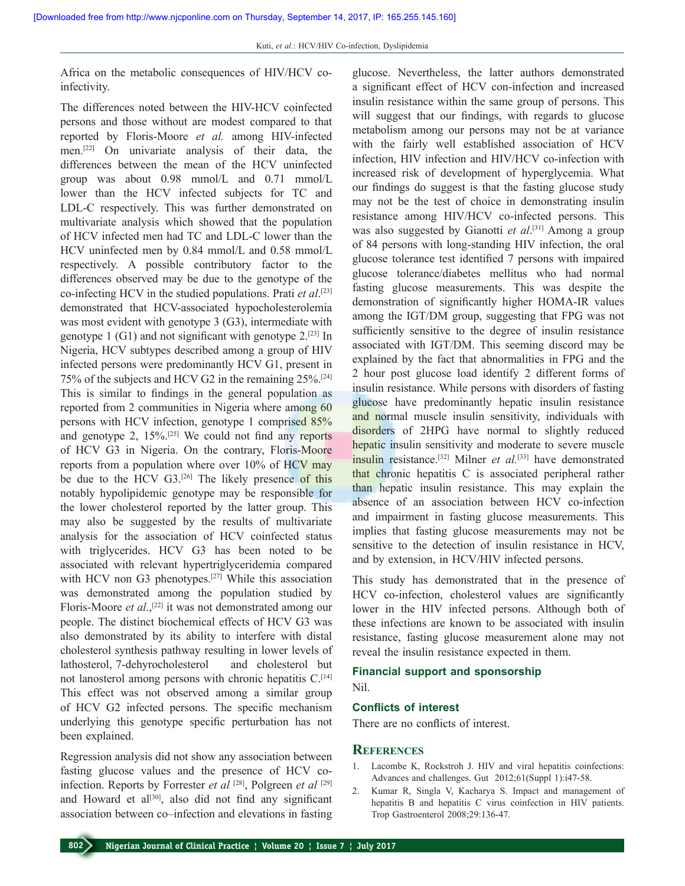Africa on the metabolic consequences of HIV/HCV coinfectivity.

The differences noted between the HIV-HCV coinfected persons and those without are modest compared to that reported by Floris-Moore *et al.* among HIV-infected men.[22] On univariate analysis of their data, the differences between the mean of the HCV uninfected group was about 0.98 mmol/L and 0.71 mmol/L lower than the HCV infected subjects for TC and LDL-C respectively. This was further demonstrated on multivariate analysis which showed that the population of HCV infected men had TC and LDL-C lower than the HCV uninfected men by 0.84 mmol/L and 0.58 mmol/L respectively. A possible contributory factor to the differences observed may be due to the genotype of the co-infecting HCV in the studied populations. Prati *et al*. [23] demonstrated that HCV-associated hypocholesterolemia was most evident with genotype 3 (G3), intermediate with genotype 1  $(G1)$  and not significant with genotype 2.<sup>[23]</sup> In Nigeria, HCV subtypes described among a group of HIV infected persons were predominantly HCV G1, present in 75% of the subjects and HCV G2 in the remaining 25%.[24] This is similar to findings in the general population as reported from 2 communities in Nigeria where among 60 persons with HCV infection, genotype 1 comprised 85% and genotype 2, 15%.[25] We could not find any reports of HCV G3 in Nigeria. On the contrary, Floris-Moore reports from a population where over 10% of HCV may be due to the HCV  $G3$ .<sup>[26]</sup> The likely presence of this notably hypolipidemic genotype may be responsible for the lower cholesterol reported by the latter group. This may also be suggested by the results of multivariate analysis for the association of HCV coinfected status with triglycerides. HCV G3 has been noted to be associated with relevant hypertriglyceridemia compared with HCV non G3 phenotypes.<sup>[27]</sup> While this association was demonstrated among the population studied by Floris-Moore *et al.*,<sup>[22]</sup> it was not demonstrated among our people. The distinct biochemical effects of HCV G3 was also demonstrated by its ability to interfere with distal cholesterol synthesis pathway resulting in lower levels of lathosterol, 7-dehyrocholesterol and cholesterol but not lanosterol among persons with chronic hepatitis C.<sup>[14]</sup> This effect was not observed among a similar group of HCV G2 infected persons. The specific mechanism underlying this genotype specific perturbation has not been explained.

Regression analysis did not show any association between fasting glucose values and the presence of HCV coinfection. Reports by Forrester *et al* [28], Polgreen *et al* [29] and Howard et al<sup>[30]</sup>, also did not find any significant association between co–infection and elevations in fasting

glucose. Nevertheless, the latter authors demonstrated a significant effect of HCV con-infection and increased insulin resistance within the same group of persons. This will suggest that our findings, with regards to glucose metabolism among our persons may not be at variance with the fairly well established association of HCV infection, HIV infection and HIV/HCV co-infection with increased risk of development of hyperglycemia. What our findings do suggest is that the fasting glucose study may not be the test of choice in demonstrating insulin resistance among HIV/HCV co-infected persons. This was also suggested by Gianotti et al.<sup>[31]</sup> Among a group of 84 persons with long-standing HIV infection, the oral glucose tolerance test identified 7 persons with impaired glucose tolerance/diabetes mellitus who had normal fasting glucose measurements. This was despite the demonstration of significantly higher HOMA-IR values among the IGT/DM group, suggesting that FPG was not sufficiently sensitive to the degree of insulin resistance associated with IGT/DM. This seeming discord may be explained by the fact that abnormalities in FPG and the 2 hour post glucose load identify 2 different forms of insulin resistance. While persons with disorders of fasting glucose have predominantly hepatic insulin resistance and normal muscle insulin sensitivity, individuals with disorders of 2HPG have normal to slightly reduced hepatic insulin sensitivity and moderate to severe muscle insulin resistance.[32] Milner *et al.*[33] have demonstrated that chronic hepatitis C is associated peripheral rather than hepatic insulin resistance. This may explain the absence of an association between HCV co-infection and impairment in fasting glucose measurements. This implies that fasting glucose measurements may not be sensitive to the detection of insulin resistance in HCV, and by extension, in HCV/HIV infected persons.

This study has demonstrated that in the presence of HCV co-infection, cholesterol values are significantly lower in the HIV infected persons. Although both of these infections are known to be associated with insulin resistance, fasting glucose measurement alone may not reveal the insulin resistance expected in them.

### **Financial support and sponsorship**

Nil.

#### **Conflicts of interest**

There are no conflicts of interest.

#### **References**

- 1. Lacombe K, Rockstroh J. HIV and viral hepatitis coinfections: Advances and challenges. Gut 2012;61(Suppl 1):i47-58.
- 2. Kumar R, Singla V, Kacharya S. Impact and management of hepatitis B and hepatitis C virus coinfection in HIV patients. Trop Gastroenterol 2008;29:136-47.